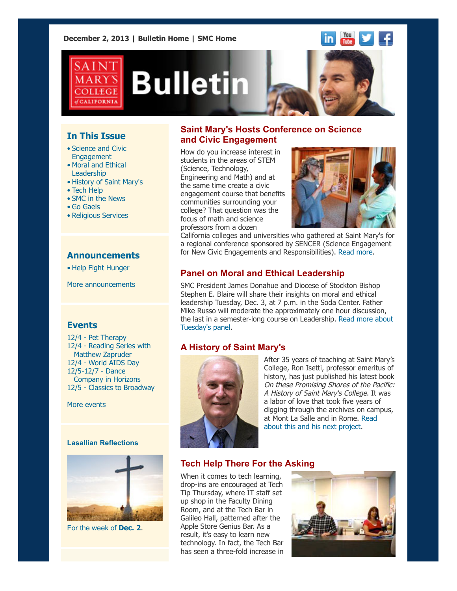**December 2, 2013 | [Bulletin Home](http://www.stmarys-ca.edu/smc-bulletin?utm_source=Bulletin&utm_medium=email&utm_campaign=12-02-2013) | [SMC Home](http://www.stmarys-ca.edu/?utm_source=Bulletin&utm_medium=email&utm_campaign=12-02-2013)**







# **In This Issue**

- [•](file:///Users/smallalieu/Desktop/Bulletin_12_02_13_SENT.html#09_30_13_studentslearn) Science and Civic Engagement
- Moral and Ethical Leadership
- History of Saint Mary's
- Tech Help
- SMC in the News
- Go Gaels
- Religious Services

### **Announcements**

[•](file:///Users/smallalieu/Desktop/Bulletin_12_02_13_SENT.html#09_30_13_studentslearn) [Help Fight Hunger](http://www.stmarys-ca.edu/choose-kelloggs-and-help-fight-hunger?utm_source=Bulletin&utm_medium=email&utm_campaign=12-02-2013)

[More announcements](http://www.stmarys-ca.edu/smc-bulletin/announcements?utm_source=Bulletin&utm_medium=email&utm_campaign=12-02-2013)

#### **Events**

12/4 - [Pet Therapy](http://www.stmarys-ca.edu/de-stressing-smiling-with-pet-therapy?utm_source=Bulletin&utm_medium=email&utm_campaign=12-02-2013) 12/4 [- Reading Series with](http://www.stmarys-ca.edu/creative-writing-reading-series-with-matthew-zapruder?utm_source=Bulletin&utm_medium=email&utm_campaign=12-02-2013) Matthew Zapruder 12/4 - [World AIDS Day](http://www.stmarys-ca.edu/world-aids-day-event?utm_source=Bulletin&utm_medium=email&utm_campaign=12-02-2013) 12/5-12/7 - Dance  [Company in Horizons](http://www.stmarys-ca.edu/saint-marys-college-dance-company-in-horizons?utm_source=Bulletin&utm_medium=email&utm_campaign=12-02-2013) 12/5 - [Classics to Broadway](http://www.stmarys-ca.edu/classics-to-broadway-0?utm_source=Bulletin&utm_medium=email&utm_campaign=12-02-2013)

[More events](http://www.stmarys-ca.edu/calendar/63?utm_source=Bulletin&utm_medium=email&utm_campaign=12-02-2013)

#### **Lasallian Reflections**



For the week of **[Dec. 2](http://www.stmarys-ca.edu/living-lasallian/lasallian-reflections?utm_source=Bulletin&utm_medium=email&utm_campaign=12-02-2013)**.

# **Saint Mary's Hosts Conference on Science and Civic Engagement**

How do you increase interest in students in the areas of STEM (Science, Technology, Engineering and Math) and at the same time create a civic engagement course that benefits communities surrounding your college? That question was the focus of math and science professors from a dozen



California colleges and universities who gathered at Saint Mary's for a regional conference sponsored by SENCER (Science Engagement for New Civic Engagements and Responsibilities). [Read more.](http://www.stmarys-ca.edu/saint-marys-hosts-conference-on-science-and-civic-engagement?utm_source=Bulletin&utm_medium=email&utm_campaign=09-24-2013)

# **Panel on Moral and Ethical Leadership**

SMC President James Donahue and Diocese of Stockton Bishop Stephen E. Blaire will share their insights on moral and ethical leadership Tuesday, Dec. 3, at 7 p.m. in the Soda Center. Father Mike Russo will moderate the approximately one hour discussion, [the last in a semester-long course on Leadership. Read more about](http://www.stmarys-ca.edu/moral-and-ethical-leadership-panel?utm_source=Bulletin&utm_medium=email&utm_campaign=12-02-13) Tuesday's panel.

# **A History of Saint Mary's**



After 35 years of teaching at Saint Mary's College, Ron Isetti, professor emeritus of history, has just published his latest book On these Promising Shores of the Pacific: A History of Saint Mary's College. It was a labor of love that took five years of digging through the archives on campus, [at Mont La Salle and in Rome. Read](http://www.stmarys-ca.edu/a-history-of-saint-marys?utm_source=Bulletin&utm_medium=email&utm_campaign=12-02-13) about this and his next project.

# **Tech Help There For the Asking**

When it comes to tech learning, drop-ins are encouraged at Tech Tip Thursday, where IT staff set up shop in the Faculty Dining Room, and at the Tech Bar in Galileo Hall, patterned after the Apple Store Genius Bar. As a result, it's easy to learn new technology. In fact, the Tech Bar has seen a three-fold increase in